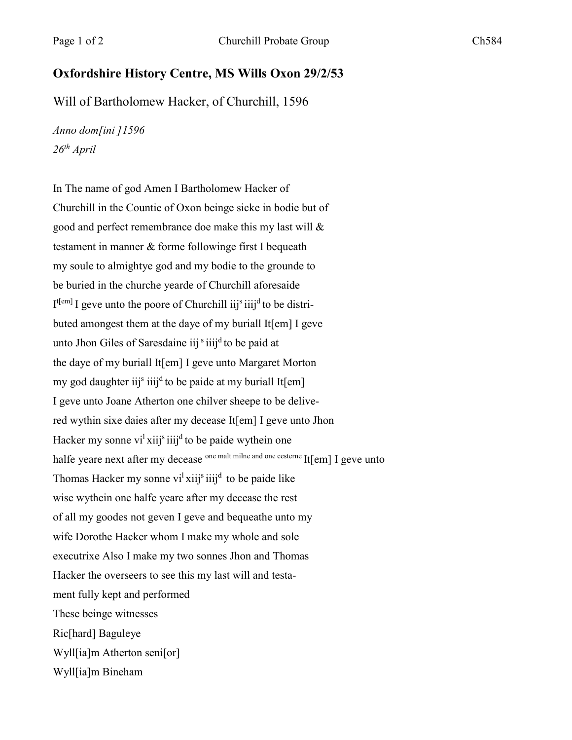## **Oxfordshire History Centre, MS Wills Oxon 29/2/53**

Will of Bartholomew Hacker, of Churchill, 1596

*Anno dom[ini ]1596 26th April*

In The name of god Amen I Bartholomew Hacker of Churchill in the Countie of Oxon beinge sicke in bodie but of good and perfect remembrance doe make this my last will & testament in manner & forme followinge first I bequeath my soule to almightye god and my bodie to the grounde to be buried in the churche yearde of Churchill aforesaide I<sup>t[em]</sup> I geve unto the poore of Churchill iij<sup>s</sup> iiij<sup>d</sup> to be distributed amongest them at the daye of my buriall It[em] I geve unto Jhon Giles of Saresdaine iij s iiij<sup>d</sup> to be paid at the daye of my buriall It[em] I geve unto Margaret Morton my god daughter iij<sup>s</sup> iiij<sup>d</sup> to be paide at my buriall It[em] I geve unto Joane Atherton one chilver sheepe to be delivered wythin sixe daies after my decease It[em] I geve unto Jhon Hacker my sonne vi<sup>l</sup> xiij<sup>s</sup> iiij<sup>d</sup> to be paide wythein one halfe yeare next after my decease one malt milne and one cesterne It[em] I geve unto Thomas Hacker my sonne vi<sup>1</sup> xiij<sup>s</sup> iiij<sup>d</sup> to be paide like wise wythein one halfe yeare after my decease the rest of all my goodes not geven I geve and bequeathe unto my wife Dorothe Hacker whom I make my whole and sole executrixe Also I make my two sonnes Jhon and Thomas Hacker the overseers to see this my last will and testament fully kept and performed These beinge witnesses Ric[hard] Baguleye Wyll[ia]m Atherton seni[or] Wyll[ia]m Bineham